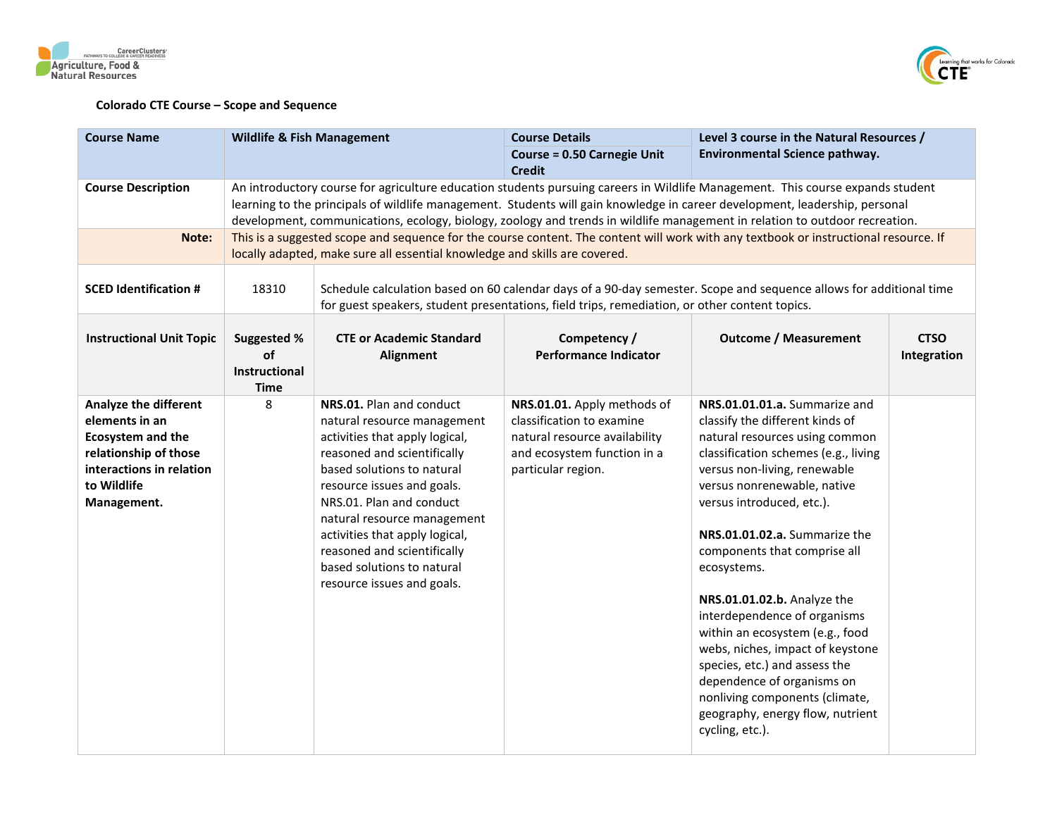





| <b>Course Name</b>                                                                                                                                     | <b>Wildlife &amp; Fish Management</b>             |                                                                                                                                                                                                                                                                                                                                                                              | <b>Course Details</b>                                                                                                                          | Level 3 course in the Natural Resources /                                                                                                                                                                                                                                                                                                                                                                                                                                                                                                                                                                            |                            |
|--------------------------------------------------------------------------------------------------------------------------------------------------------|---------------------------------------------------|------------------------------------------------------------------------------------------------------------------------------------------------------------------------------------------------------------------------------------------------------------------------------------------------------------------------------------------------------------------------------|------------------------------------------------------------------------------------------------------------------------------------------------|----------------------------------------------------------------------------------------------------------------------------------------------------------------------------------------------------------------------------------------------------------------------------------------------------------------------------------------------------------------------------------------------------------------------------------------------------------------------------------------------------------------------------------------------------------------------------------------------------------------------|----------------------------|
|                                                                                                                                                        |                                                   |                                                                                                                                                                                                                                                                                                                                                                              | <b>Course = 0.50 Carnegie Unit</b><br><b>Credit</b>                                                                                            | Environmental Science pathway.                                                                                                                                                                                                                                                                                                                                                                                                                                                                                                                                                                                       |                            |
| <b>Course Description</b>                                                                                                                              |                                                   |                                                                                                                                                                                                                                                                                                                                                                              |                                                                                                                                                | An introductory course for agriculture education students pursuing careers in Wildlife Management. This course expands student<br>learning to the principals of wildlife management. Students will gain knowledge in career development, leadership, personal<br>development, communications, ecology, biology, zoology and trends in wildlife management in relation to outdoor recreation.                                                                                                                                                                                                                         |                            |
| Note:                                                                                                                                                  |                                                   | locally adapted, make sure all essential knowledge and skills are covered.                                                                                                                                                                                                                                                                                                   |                                                                                                                                                | This is a suggested scope and sequence for the course content. The content will work with any textbook or instructional resource. If                                                                                                                                                                                                                                                                                                                                                                                                                                                                                 |                            |
| <b>SCED Identification #</b>                                                                                                                           | 18310                                             |                                                                                                                                                                                                                                                                                                                                                                              | for guest speakers, student presentations, field trips, remediation, or other content topics.                                                  | Schedule calculation based on 60 calendar days of a 90-day semester. Scope and sequence allows for additional time                                                                                                                                                                                                                                                                                                                                                                                                                                                                                                   |                            |
| <b>Instructional Unit Topic</b>                                                                                                                        | Suggested %<br>of<br>Instructional<br><b>Time</b> | <b>CTE or Academic Standard</b><br><b>Alignment</b>                                                                                                                                                                                                                                                                                                                          | Competency /<br><b>Performance Indicator</b>                                                                                                   | <b>Outcome / Measurement</b>                                                                                                                                                                                                                                                                                                                                                                                                                                                                                                                                                                                         | <b>CTSO</b><br>Integration |
| Analyze the different<br>elements in an<br><b>Ecosystem and the</b><br>relationship of those<br>interactions in relation<br>to Wildlife<br>Management. | 8                                                 | NRS.01. Plan and conduct<br>natural resource management<br>activities that apply logical,<br>reasoned and scientifically<br>based solutions to natural<br>resource issues and goals.<br>NRS.01. Plan and conduct<br>natural resource management<br>activities that apply logical,<br>reasoned and scientifically<br>based solutions to natural<br>resource issues and goals. | NRS.01.01. Apply methods of<br>classification to examine<br>natural resource availability<br>and ecosystem function in a<br>particular region. | NRS.01.01.01.a. Summarize and<br>classify the different kinds of<br>natural resources using common<br>classification schemes (e.g., living<br>versus non-living, renewable<br>versus nonrenewable, native<br>versus introduced, etc.).<br>NRS.01.01.02.a. Summarize the<br>components that comprise all<br>ecosystems.<br>NRS.01.01.02.b. Analyze the<br>interdependence of organisms<br>within an ecosystem (e.g., food<br>webs, niches, impact of keystone<br>species, etc.) and assess the<br>dependence of organisms on<br>nonliving components (climate,<br>geography, energy flow, nutrient<br>cycling, etc.). |                            |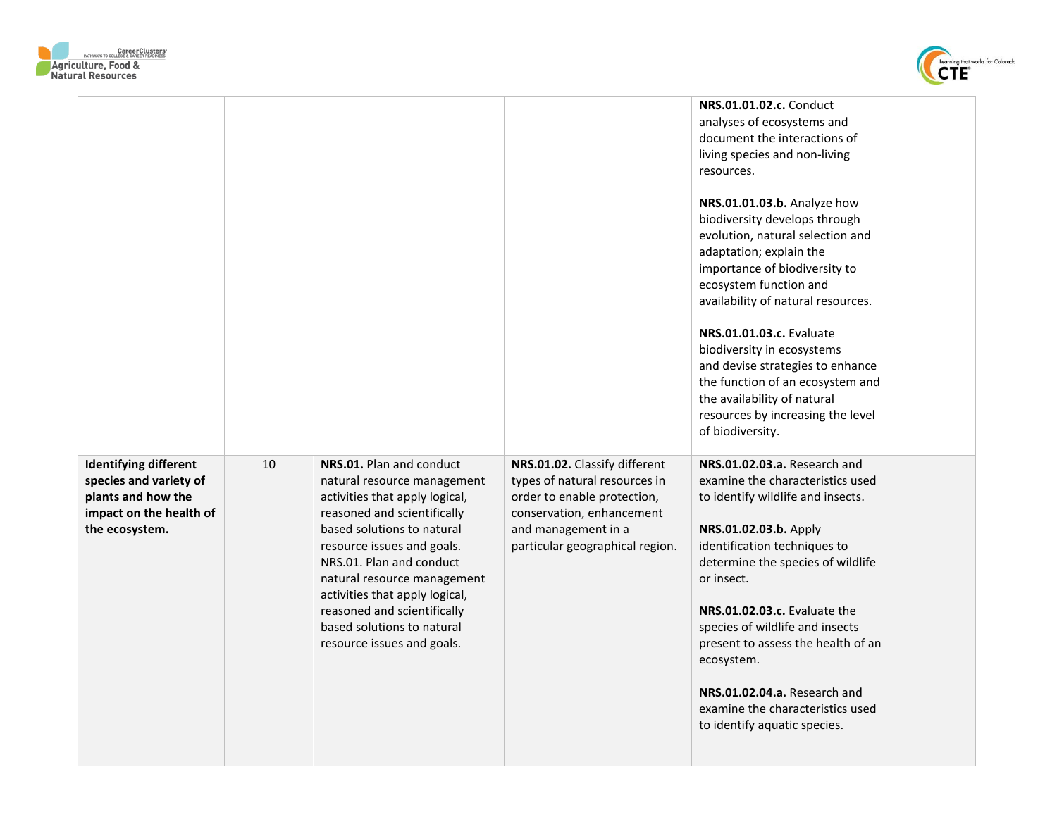



|                                                                                                                           |    |                                                                                                                                                                                                                                                                                                                                                                              |                                                                                                                                                                                      | <b>NRS.01.01.02.c.</b> Conduct<br>analyses of ecosystems and<br>document the interactions of<br>living species and non-living<br>resources.<br>NRS.01.01.03.b. Analyze how<br>biodiversity develops through<br>evolution, natural selection and<br>adaptation; explain the<br>importance of biodiversity to<br>ecosystem function and<br>availability of natural resources.<br><b>NRS.01.01.03.c.</b> Evaluate<br>biodiversity in ecosystems<br>and devise strategies to enhance<br>the function of an ecosystem and<br>the availability of natural<br>resources by increasing the level<br>of biodiversity. |  |
|---------------------------------------------------------------------------------------------------------------------------|----|------------------------------------------------------------------------------------------------------------------------------------------------------------------------------------------------------------------------------------------------------------------------------------------------------------------------------------------------------------------------------|--------------------------------------------------------------------------------------------------------------------------------------------------------------------------------------|--------------------------------------------------------------------------------------------------------------------------------------------------------------------------------------------------------------------------------------------------------------------------------------------------------------------------------------------------------------------------------------------------------------------------------------------------------------------------------------------------------------------------------------------------------------------------------------------------------------|--|
| <b>Identifying different</b><br>species and variety of<br>plants and how the<br>impact on the health of<br>the ecosystem. | 10 | NRS.01. Plan and conduct<br>natural resource management<br>activities that apply logical,<br>reasoned and scientifically<br>based solutions to natural<br>resource issues and goals.<br>NRS.01. Plan and conduct<br>natural resource management<br>activities that apply logical,<br>reasoned and scientifically<br>based solutions to natural<br>resource issues and goals. | NRS.01.02. Classify different<br>types of natural resources in<br>order to enable protection,<br>conservation, enhancement<br>and management in a<br>particular geographical region. | NRS.01.02.03.a. Research and<br>examine the characteristics used<br>to identify wildlife and insects.<br>NRS.01.02.03.b. Apply<br>identification techniques to<br>determine the species of wildlife<br>or insect.<br>NRS.01.02.03.c. Evaluate the<br>species of wildlife and insects<br>present to assess the health of an<br>ecosystem.<br>NRS.01.02.04.a. Research and<br>examine the characteristics used<br>to identify aquatic species.                                                                                                                                                                 |  |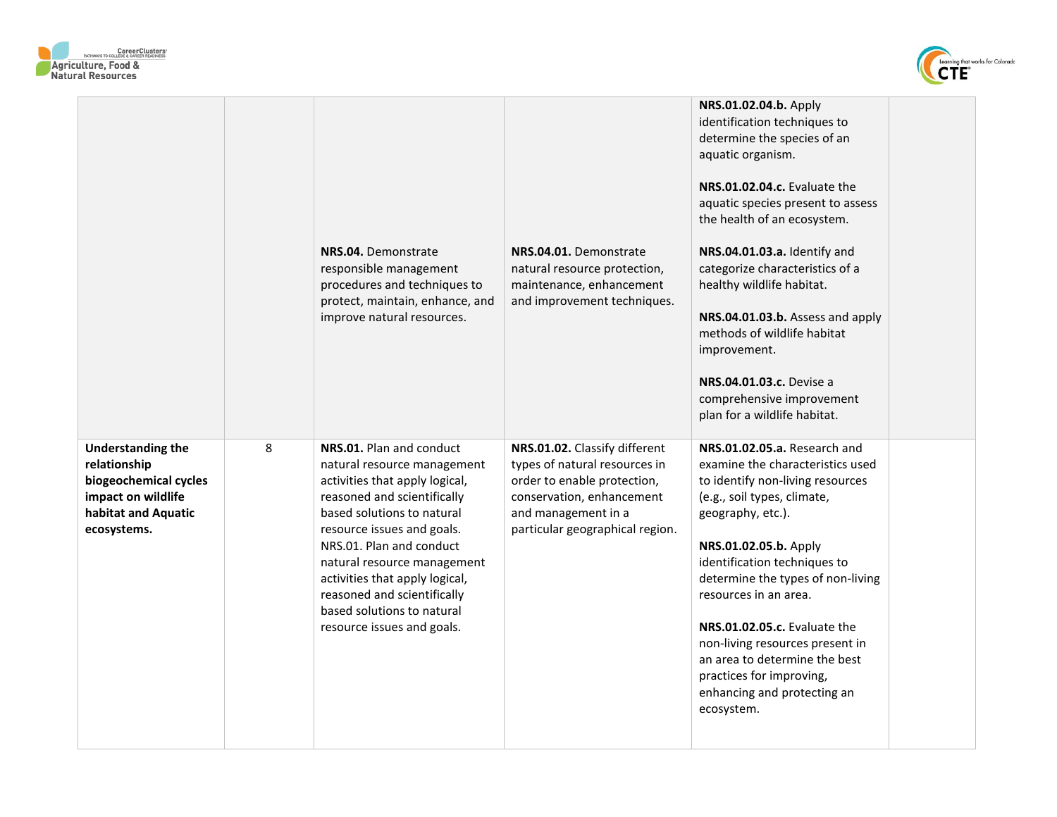



|                                                                                                                               |   | NRS.04. Demonstrate<br>responsible management<br>procedures and techniques to<br>protect, maintain, enhance, and<br>improve natural resources.                                                                                                                                                                                                                               | NRS.04.01. Demonstrate<br>natural resource protection,<br>maintenance, enhancement<br>and improvement techniques.                                                                    | NRS.01.02.04.b. Apply<br>identification techniques to<br>determine the species of an<br>aquatic organism.<br>NRS.01.02.04.c. Evaluate the<br>aquatic species present to assess<br>the health of an ecosystem.<br>NRS.04.01.03.a. Identify and<br>categorize characteristics of a<br>healthy wildlife habitat.<br>NRS.04.01.03.b. Assess and apply<br>methods of wildlife habitat<br>improvement.<br>NRS.04.01.03.c. Devise a<br>comprehensive improvement<br>plan for a wildlife habitat. |  |
|-------------------------------------------------------------------------------------------------------------------------------|---|------------------------------------------------------------------------------------------------------------------------------------------------------------------------------------------------------------------------------------------------------------------------------------------------------------------------------------------------------------------------------|--------------------------------------------------------------------------------------------------------------------------------------------------------------------------------------|-------------------------------------------------------------------------------------------------------------------------------------------------------------------------------------------------------------------------------------------------------------------------------------------------------------------------------------------------------------------------------------------------------------------------------------------------------------------------------------------|--|
| <b>Understanding the</b><br>relationship<br>biogeochemical cycles<br>impact on wildlife<br>habitat and Aquatic<br>ecosystems. | 8 | NRS.01. Plan and conduct<br>natural resource management<br>activities that apply logical,<br>reasoned and scientifically<br>based solutions to natural<br>resource issues and goals.<br>NRS.01. Plan and conduct<br>natural resource management<br>activities that apply logical,<br>reasoned and scientifically<br>based solutions to natural<br>resource issues and goals. | NRS.01.02. Classify different<br>types of natural resources in<br>order to enable protection,<br>conservation, enhancement<br>and management in a<br>particular geographical region. | NRS.01.02.05.a. Research and<br>examine the characteristics used<br>to identify non-living resources<br>(e.g., soil types, climate,<br>geography, etc.).<br>NRS.01.02.05.b. Apply<br>identification techniques to<br>determine the types of non-living<br>resources in an area.<br>NRS.01.02.05.c. Evaluate the<br>non-living resources present in<br>an area to determine the best<br>practices for improving,<br>enhancing and protecting an<br>ecosystem.                              |  |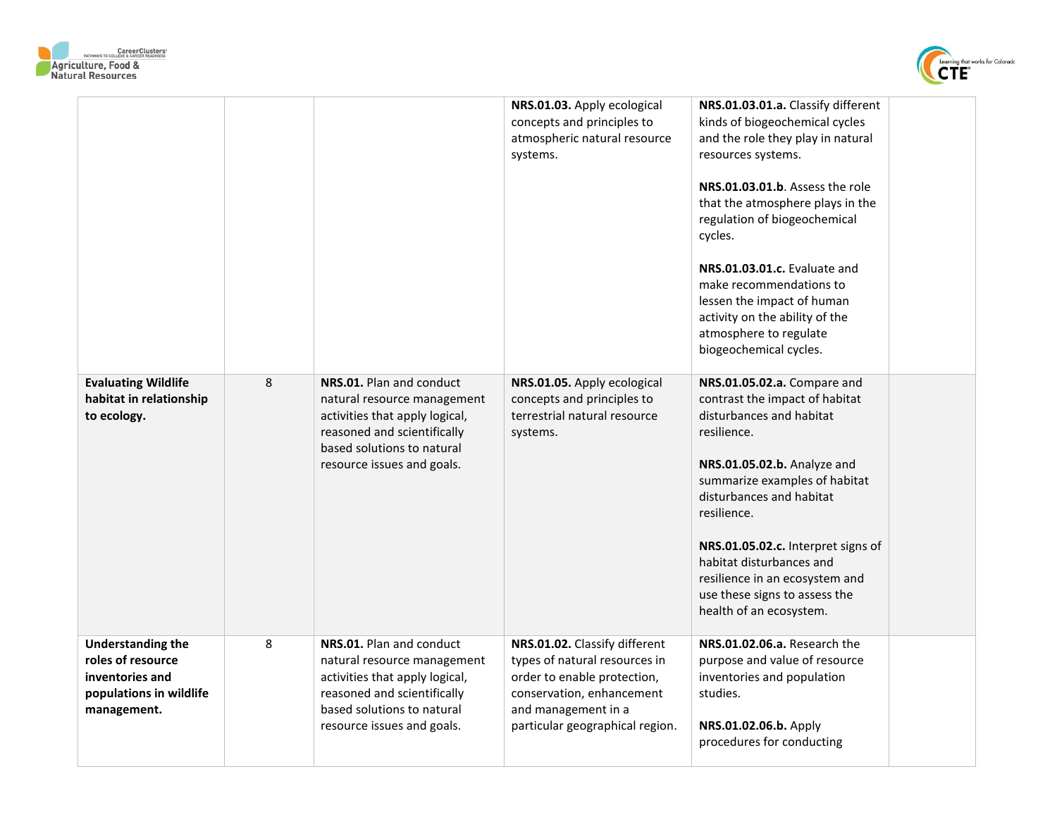



|                                                                                                            |   |                                                                                                                                                                                      | NRS.01.03. Apply ecological<br>concepts and principles to<br>atmospheric natural resource<br>systems.                                                                                | NRS.01.03.01.a. Classify different<br>kinds of biogeochemical cycles<br>and the role they play in natural<br>resources systems.<br>NRS.01.03.01.b. Assess the role<br>that the atmosphere plays in the<br>regulation of biogeochemical<br>cycles.<br>NRS.01.03.01.c. Evaluate and<br>make recommendations to<br>lessen the impact of human<br>activity on the ability of the<br>atmosphere to regulate<br>biogeochemical cycles. |  |
|------------------------------------------------------------------------------------------------------------|---|--------------------------------------------------------------------------------------------------------------------------------------------------------------------------------------|--------------------------------------------------------------------------------------------------------------------------------------------------------------------------------------|----------------------------------------------------------------------------------------------------------------------------------------------------------------------------------------------------------------------------------------------------------------------------------------------------------------------------------------------------------------------------------------------------------------------------------|--|
| <b>Evaluating Wildlife</b><br>habitat in relationship<br>to ecology.                                       | 8 | NRS.01. Plan and conduct<br>natural resource management<br>activities that apply logical,<br>reasoned and scientifically<br>based solutions to natural<br>resource issues and goals. | NRS.01.05. Apply ecological<br>concepts and principles to<br>terrestrial natural resource<br>systems.                                                                                | NRS.01.05.02.a. Compare and<br>contrast the impact of habitat<br>disturbances and habitat<br>resilience.<br>NRS.01.05.02.b. Analyze and<br>summarize examples of habitat<br>disturbances and habitat<br>resilience.<br>NRS.01.05.02.c. Interpret signs of<br>habitat disturbances and<br>resilience in an ecosystem and<br>use these signs to assess the<br>health of an ecosystem.                                              |  |
| <b>Understanding the</b><br>roles of resource<br>inventories and<br>populations in wildlife<br>management. | 8 | NRS.01. Plan and conduct<br>natural resource management<br>activities that apply logical,<br>reasoned and scientifically<br>based solutions to natural<br>resource issues and goals. | NRS.01.02. Classify different<br>types of natural resources in<br>order to enable protection,<br>conservation, enhancement<br>and management in a<br>particular geographical region. | NRS.01.02.06.a. Research the<br>purpose and value of resource<br>inventories and population<br>studies.<br>NRS.01.02.06.b. Apply<br>procedures for conducting                                                                                                                                                                                                                                                                    |  |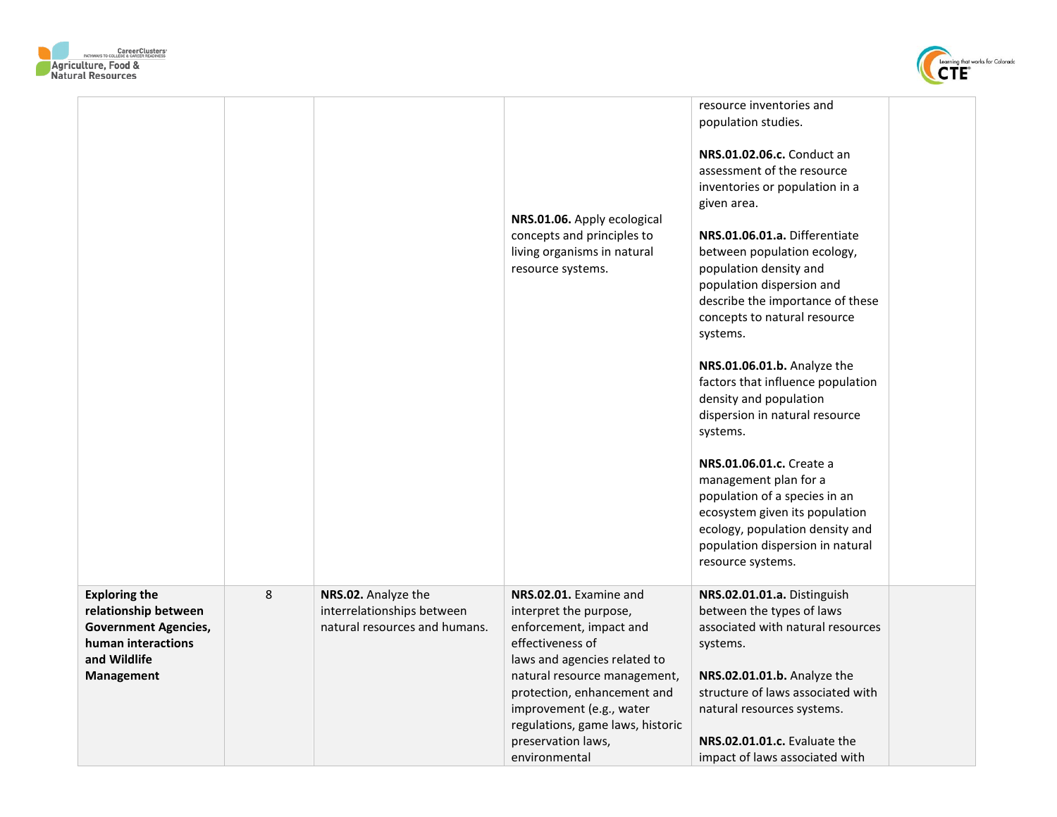



| resource inventories and<br>population studies.<br>NRS.01.02.06.c. Conduct an<br>assessment of the resource<br>inventories or population in a<br>given area.<br>NRS.01.06. Apply ecological<br>NRS.01.06.01.a. Differentiate<br>concepts and principles to<br>living organisms in natural<br>between population ecology,<br>resource systems.<br>population density and<br>population dispersion and<br>describe the importance of these<br>concepts to natural resource<br>systems.<br>NRS.01.06.01.b. Analyze the<br>factors that influence population<br>density and population<br>dispersion in natural resource<br>systems.<br>NRS.01.06.01.c. Create a<br>management plan for a<br>population of a species in an<br>ecosystem given its population<br>ecology, population density and<br>population dispersion in natural<br>resource systems.<br>8<br><b>Exploring the</b><br>NRS.02. Analyze the<br>NRS.02.01. Examine and<br>NRS.02.01.01.a. Distinguish<br>interrelationships between<br>between the types of laws<br>relationship between<br>interpret the purpose,<br>natural resources and humans.<br>enforcement, impact and<br>associated with natural resources<br><b>Government Agencies,</b><br>human interactions<br>effectiveness of<br>systems.<br>and Wildlife<br>laws and agencies related to<br>natural resource management,<br>NRS.02.01.01.b. Analyze the<br>Management<br>structure of laws associated with<br>protection, enhancement and<br>improvement (e.g., water<br>natural resources systems. |  |                                  |  |
|---------------------------------------------------------------------------------------------------------------------------------------------------------------------------------------------------------------------------------------------------------------------------------------------------------------------------------------------------------------------------------------------------------------------------------------------------------------------------------------------------------------------------------------------------------------------------------------------------------------------------------------------------------------------------------------------------------------------------------------------------------------------------------------------------------------------------------------------------------------------------------------------------------------------------------------------------------------------------------------------------------------------------------------------------------------------------------------------------------------------------------------------------------------------------------------------------------------------------------------------------------------------------------------------------------------------------------------------------------------------------------------------------------------------------------------------------------------------------------------------------------------------------------|--|----------------------------------|--|
|                                                                                                                                                                                                                                                                                                                                                                                                                                                                                                                                                                                                                                                                                                                                                                                                                                                                                                                                                                                                                                                                                                                                                                                                                                                                                                                                                                                                                                                                                                                                 |  |                                  |  |
|                                                                                                                                                                                                                                                                                                                                                                                                                                                                                                                                                                                                                                                                                                                                                                                                                                                                                                                                                                                                                                                                                                                                                                                                                                                                                                                                                                                                                                                                                                                                 |  |                                  |  |
|                                                                                                                                                                                                                                                                                                                                                                                                                                                                                                                                                                                                                                                                                                                                                                                                                                                                                                                                                                                                                                                                                                                                                                                                                                                                                                                                                                                                                                                                                                                                 |  |                                  |  |
|                                                                                                                                                                                                                                                                                                                                                                                                                                                                                                                                                                                                                                                                                                                                                                                                                                                                                                                                                                                                                                                                                                                                                                                                                                                                                                                                                                                                                                                                                                                                 |  |                                  |  |
|                                                                                                                                                                                                                                                                                                                                                                                                                                                                                                                                                                                                                                                                                                                                                                                                                                                                                                                                                                                                                                                                                                                                                                                                                                                                                                                                                                                                                                                                                                                                 |  |                                  |  |
|                                                                                                                                                                                                                                                                                                                                                                                                                                                                                                                                                                                                                                                                                                                                                                                                                                                                                                                                                                                                                                                                                                                                                                                                                                                                                                                                                                                                                                                                                                                                 |  |                                  |  |
|                                                                                                                                                                                                                                                                                                                                                                                                                                                                                                                                                                                                                                                                                                                                                                                                                                                                                                                                                                                                                                                                                                                                                                                                                                                                                                                                                                                                                                                                                                                                 |  |                                  |  |
|                                                                                                                                                                                                                                                                                                                                                                                                                                                                                                                                                                                                                                                                                                                                                                                                                                                                                                                                                                                                                                                                                                                                                                                                                                                                                                                                                                                                                                                                                                                                 |  |                                  |  |
|                                                                                                                                                                                                                                                                                                                                                                                                                                                                                                                                                                                                                                                                                                                                                                                                                                                                                                                                                                                                                                                                                                                                                                                                                                                                                                                                                                                                                                                                                                                                 |  | regulations, game laws, historic |  |
| preservation laws,<br>NRS.02.01.01.c. Evaluate the                                                                                                                                                                                                                                                                                                                                                                                                                                                                                                                                                                                                                                                                                                                                                                                                                                                                                                                                                                                                                                                                                                                                                                                                                                                                                                                                                                                                                                                                              |  |                                  |  |
| impact of laws associated with<br>environmental                                                                                                                                                                                                                                                                                                                                                                                                                                                                                                                                                                                                                                                                                                                                                                                                                                                                                                                                                                                                                                                                                                                                                                                                                                                                                                                                                                                                                                                                                 |  |                                  |  |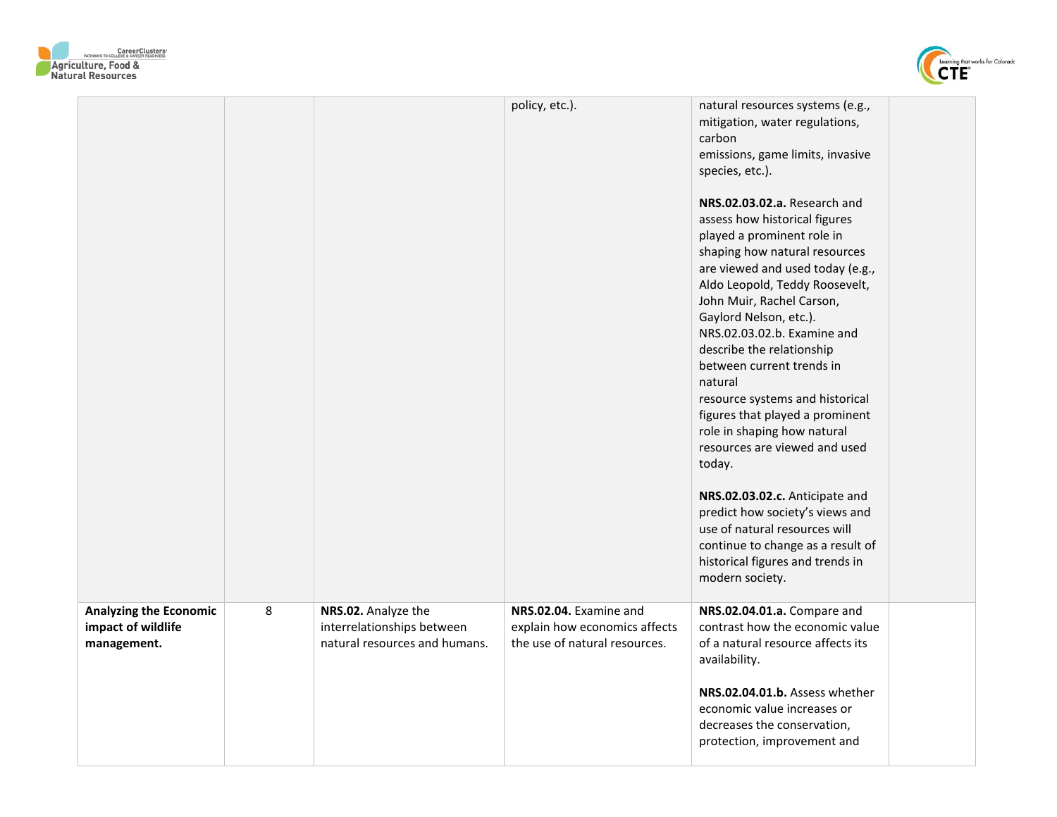



|                                                                    |   |                                                                                    | policy, etc.).                                                                           | natural resources systems (e.g.,<br>mitigation, water regulations,<br>carbon<br>emissions, game limits, invasive<br>species, etc.).<br>NRS.02.03.02.a. Research and<br>assess how historical figures<br>played a prominent role in<br>shaping how natural resources<br>are viewed and used today (e.g.,<br>Aldo Leopold, Teddy Roosevelt,<br>John Muir, Rachel Carson,<br>Gaylord Nelson, etc.).<br>NRS.02.03.02.b. Examine and<br>describe the relationship<br>between current trends in<br>natural<br>resource systems and historical<br>figures that played a prominent<br>role in shaping how natural<br>resources are viewed and used<br>today.<br>NRS.02.03.02.c. Anticipate and<br>predict how society's views and<br>use of natural resources will<br>continue to change as a result of<br>historical figures and trends in<br>modern society. |  |
|--------------------------------------------------------------------|---|------------------------------------------------------------------------------------|------------------------------------------------------------------------------------------|--------------------------------------------------------------------------------------------------------------------------------------------------------------------------------------------------------------------------------------------------------------------------------------------------------------------------------------------------------------------------------------------------------------------------------------------------------------------------------------------------------------------------------------------------------------------------------------------------------------------------------------------------------------------------------------------------------------------------------------------------------------------------------------------------------------------------------------------------------|--|
| <b>Analyzing the Economic</b><br>impact of wildlife<br>management. | 8 | NRS.02. Analyze the<br>interrelationships between<br>natural resources and humans. | NRS.02.04. Examine and<br>explain how economics affects<br>the use of natural resources. | NRS.02.04.01.a. Compare and<br>contrast how the economic value<br>of a natural resource affects its<br>availability.<br>NRS.02.04.01.b. Assess whether<br>economic value increases or<br>decreases the conservation,<br>protection, improvement and                                                                                                                                                                                                                                                                                                                                                                                                                                                                                                                                                                                                    |  |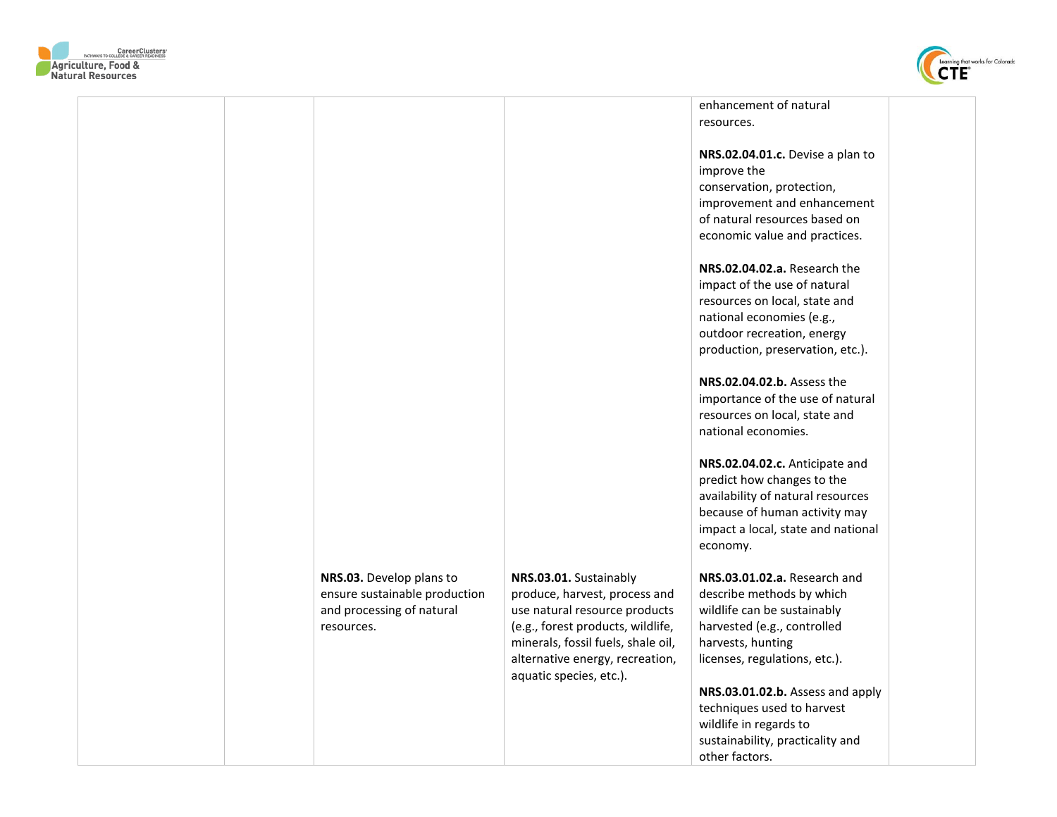



|                               |                                    | enhancement of natural<br>resources. |
|-------------------------------|------------------------------------|--------------------------------------|
|                               |                                    |                                      |
|                               |                                    | NRS.02.04.01.c. Devise a plan to     |
|                               |                                    | improve the                          |
|                               |                                    | conservation, protection,            |
|                               |                                    | improvement and enhancement          |
|                               |                                    | of natural resources based on        |
|                               |                                    | economic value and practices.        |
|                               |                                    |                                      |
|                               |                                    | NRS.02.04.02.a. Research the         |
|                               |                                    | impact of the use of natural         |
|                               |                                    | resources on local, state and        |
|                               |                                    | national economies (e.g.,            |
|                               |                                    | outdoor recreation, energy           |
|                               |                                    | production, preservation, etc.).     |
|                               |                                    |                                      |
|                               |                                    | NRS.02.04.02.b. Assess the           |
|                               |                                    | importance of the use of natural     |
|                               |                                    | resources on local, state and        |
|                               |                                    | national economies.                  |
|                               |                                    |                                      |
|                               |                                    | NRS.02.04.02.c. Anticipate and       |
|                               |                                    | predict how changes to the           |
|                               |                                    | availability of natural resources    |
|                               |                                    | because of human activity may        |
|                               |                                    | impact a local, state and national   |
|                               |                                    | economy.                             |
| NRS.03. Develop plans to      | NRS.03.01. Sustainably             | NRS.03.01.02.a. Research and         |
| ensure sustainable production | produce, harvest, process and      | describe methods by which            |
| and processing of natural     | use natural resource products      | wildlife can be sustainably          |
| resources.                    | (e.g., forest products, wildlife,  | harvested (e.g., controlled          |
|                               | minerals, fossil fuels, shale oil, | harvests, hunting                    |
|                               | alternative energy, recreation,    | licenses, regulations, etc.).        |
|                               | aquatic species, etc.).            |                                      |
|                               |                                    | NRS.03.01.02.b. Assess and apply     |
|                               |                                    | techniques used to harvest           |
|                               |                                    | wildlife in regards to               |
|                               |                                    | sustainability, practicality and     |
|                               |                                    | other factors.                       |
|                               |                                    |                                      |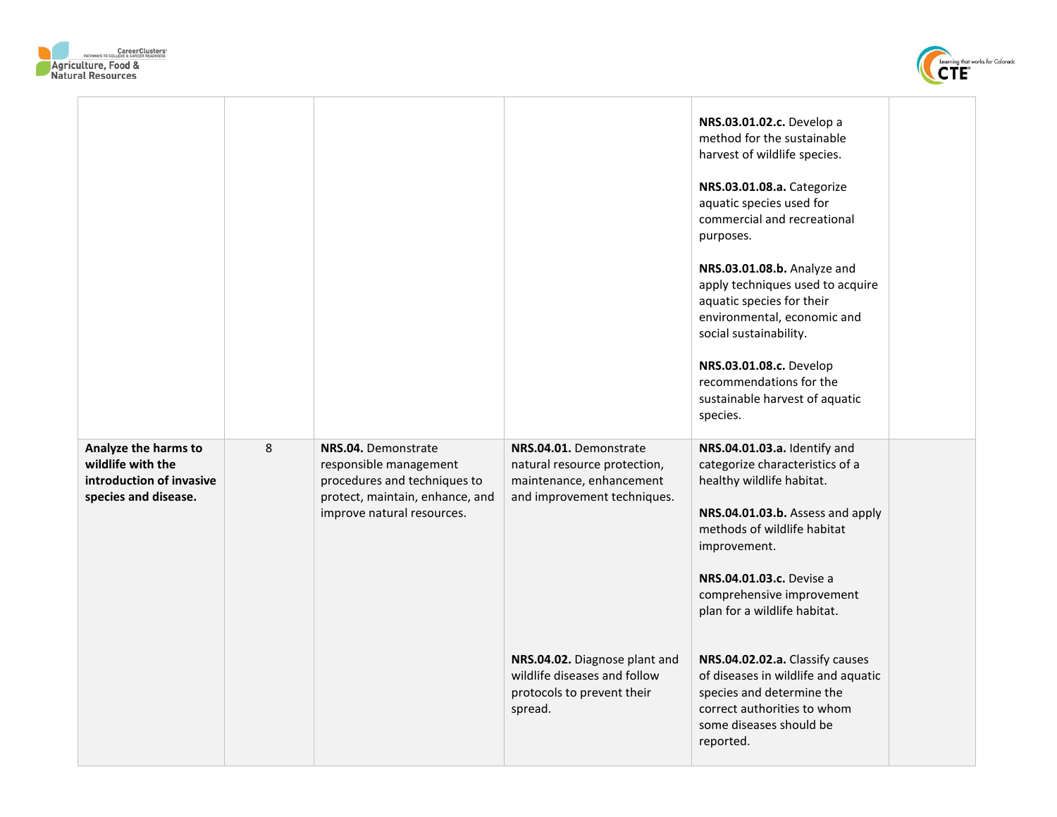



|                                                                       |   |                                                                                                                         |                                                                                                        | NRS.03.01.02.c. Develop a<br>method for the sustainable<br>harvest of wildlife species.<br>NRS.03.01.08.a. Categorize<br>aquatic species used for<br>commercial and recreational<br>purposes.<br>NRS.03.01.08.b. Analyze and<br>apply techniques used to acquire<br>aquatic species for their<br>environmental, economic and |  |
|-----------------------------------------------------------------------|---|-------------------------------------------------------------------------------------------------------------------------|--------------------------------------------------------------------------------------------------------|------------------------------------------------------------------------------------------------------------------------------------------------------------------------------------------------------------------------------------------------------------------------------------------------------------------------------|--|
| Analyze the harms to                                                  | 8 | NRS.04. Demonstrate                                                                                                     | NRS.04.01. Demonstrate                                                                                 | social sustainability.<br>NRS.03.01.08.c. Develop<br>recommendations for the<br>sustainable harvest of aquatic<br>species.<br>NRS.04.01.03.a. Identify and                                                                                                                                                                   |  |
| wildlife with the<br>introduction of invasive<br>species and disease. |   | responsible management<br>procedures and techniques to<br>protect, maintain, enhance, and<br>improve natural resources. | natural resource protection,<br>maintenance, enhancement<br>and improvement techniques.                | categorize characteristics of a<br>healthy wildlife habitat.<br>NRS.04.01.03.b. Assess and apply<br>methods of wildlife habitat<br>improvement.<br>NRS.04.01.03.c. Devise a<br>comprehensive improvement<br>plan for a wildlife habitat.                                                                                     |  |
|                                                                       |   |                                                                                                                         | NRS.04.02. Diagnose plant and<br>wildlife diseases and follow<br>protocols to prevent their<br>spread. | NRS.04.02.02.a. Classify causes<br>of diseases in wildlife and aquatic<br>species and determine the<br>correct authorities to whom<br>some diseases should be<br>reported.                                                                                                                                                   |  |